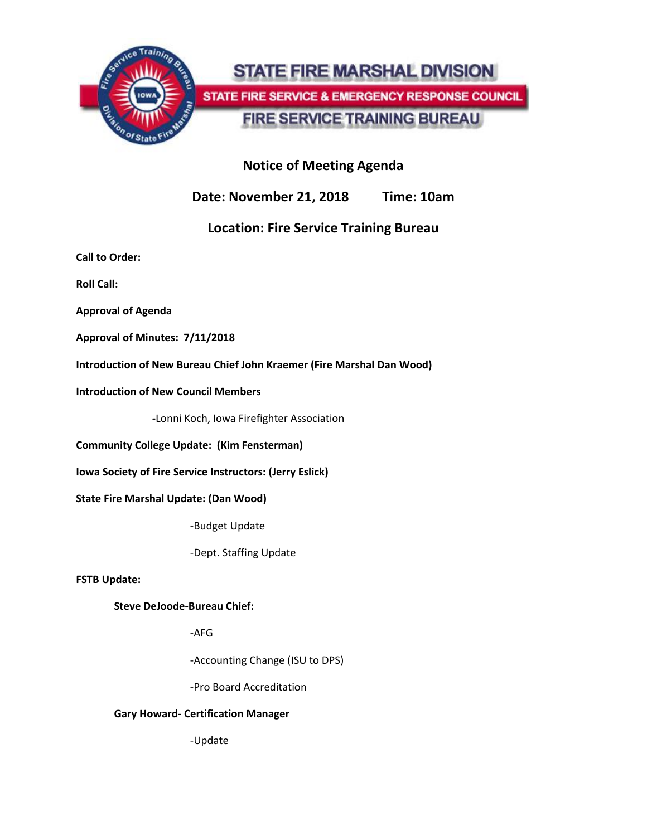

# **STATE FIRE MARSHAL DIVISION** STATE FIRE SERVICE & EMERGENCY RESPONSE COUNCIL **FIRE SERVICE TRAINING BUREAU**

## **Notice of Meeting Agenda**

**Date: November 21, 2018 Time: 10am**

## **Location: Fire Service Training Bureau**

**Call to Order:**

**Roll Call:**

**Approval of Agenda**

**Approval of Minutes: 7/11/2018**

**Introduction of New Bureau Chief John Kraemer (Fire Marshal Dan Wood)**

**Introduction of New Council Members**

**-**Lonni Koch, Iowa Firefighter Association

**Community College Update: (Kim Fensterman)**

**Iowa Society of Fire Service Instructors: (Jerry Eslick)**

**State Fire Marshal Update: (Dan Wood)**

-Budget Update

-Dept. Staffing Update

**FSTB Update:**

**Steve DeJoode-Bureau Chief:**

-AFG

-Accounting Change (ISU to DPS)

-Pro Board Accreditation

#### **Gary Howard- Certification Manager**

-Update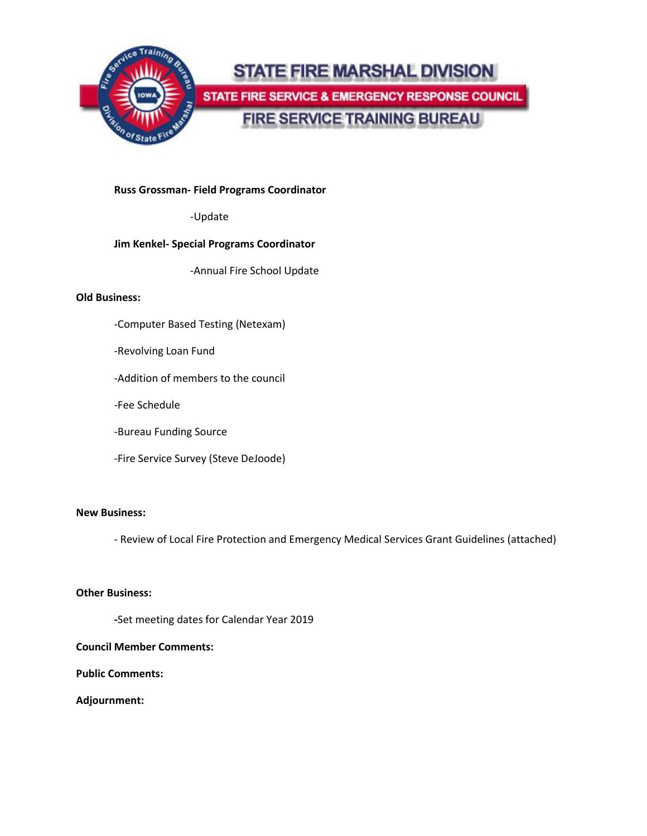

# **STATE FIRE MARSHAL DIVISION** STATE FIRE SERVICE & EMERGENCY RESPONSE COUNCIL **FIRE SERVICE TRAINING BUREAU**

#### **Russ Grossman- Field Programs Coordinator**

-Update

#### **Jim Kenkel- Special Programs Coordinator**

-Annual Fire School Update

#### **Old Business:**

- -Computer Based Testing (Netexam)
- -Revolving Loan Fund
- -Addition of members to the council
- -Fee Schedule
- -Bureau Funding Source
- -Fire Service Survey (Steve DeJoode)

#### **New Business:**

- Review of Local Fire Protection and Emergency Medical Services Grant Guidelines (attached)

#### **Other Business:**

**-**Set meeting dates for Calendar Year 2019

#### **Council Member Comments:**

**Public Comments:**

#### **Adjournment:**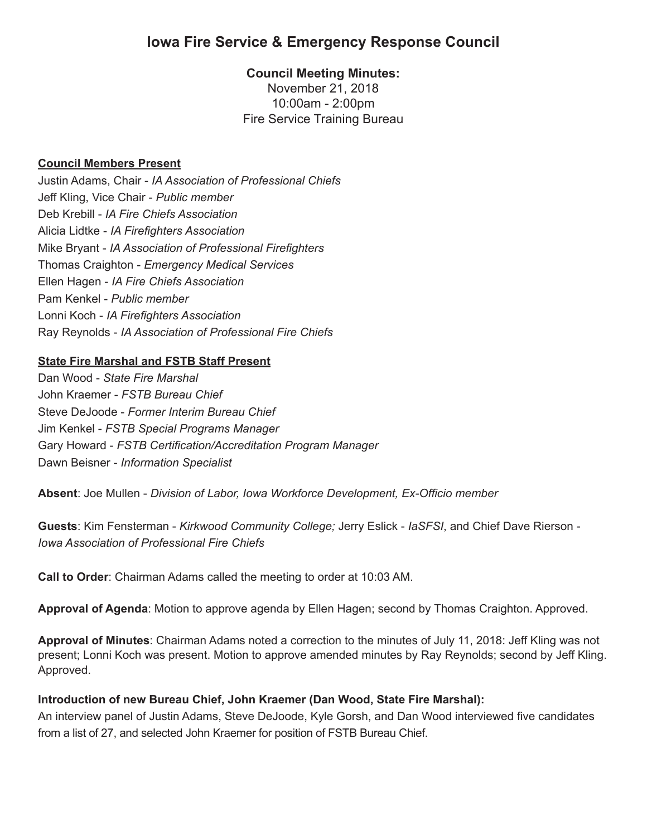# **Iowa Fire Service & Emergency Response Council**

### **Council Meeting Minutes:**

November 21, 2018 10:00am - 2:00pm Fire Service Training Bureau

#### **Council Members Present**

Justin Adams, Chair - *IA Association of Professional Chiefs* Jeff Kling, Vice Chair - *Public member* Deb Krebill - *IA Fire Chiefs Association* Alicia Lidtke - *IA Firefighters Association* Mike Bryant - *IA Association of Professional Firefighters* Thomas Craighton - *Emergency Medical Services* Ellen Hagen - *IA Fire Chiefs Association*  Pam Kenkel - *Public member* Lonni Koch - *IA Firefighters Association* Ray Reynolds - *IA Association of Professional Fire Chiefs*

#### **State Fire Marshal and FSTB Staff Present**

Dan Wood - *State Fire Marshal* John Kraemer - *FSTB Bureau Chief* Steve DeJoode - *Former Interim Bureau Chief* Jim Kenkel - *FSTB Special Programs Manager* Gary Howard - *FSTB Certification/Accreditation Program Manager* Dawn Beisner - *Information Specialist*

**Absent**: Joe Mullen - *Division of Labor, Iowa Workforce Development, Ex-Officio member*

**Guests**: Kim Fensterman - *Kirkwood Community College;* Jerry Eslick - *IaSFSI*, and Chief Dave Rierson - *Iowa Association of Professional Fire Chiefs*

**Call to Order**: Chairman Adams called the meeting to order at 10:03 AM.

**Approval of Agenda**: Motion to approve agenda by Ellen Hagen; second by Thomas Craighton. Approved.

**Approval of Minutes**: Chairman Adams noted a correction to the minutes of July 11, 2018: Jeff Kling was not present; Lonni Koch was present. Motion to approve amended minutes by Ray Reynolds; second by Jeff Kling. Approved.

#### **Introduction of new Bureau Chief, John Kraemer (Dan Wood, State Fire Marshal):**

An interview panel of Justin Adams, Steve DeJoode, Kyle Gorsh, and Dan Wood interviewed five candidates from a list of 27, and selected John Kraemer for position of FSTB Bureau Chief.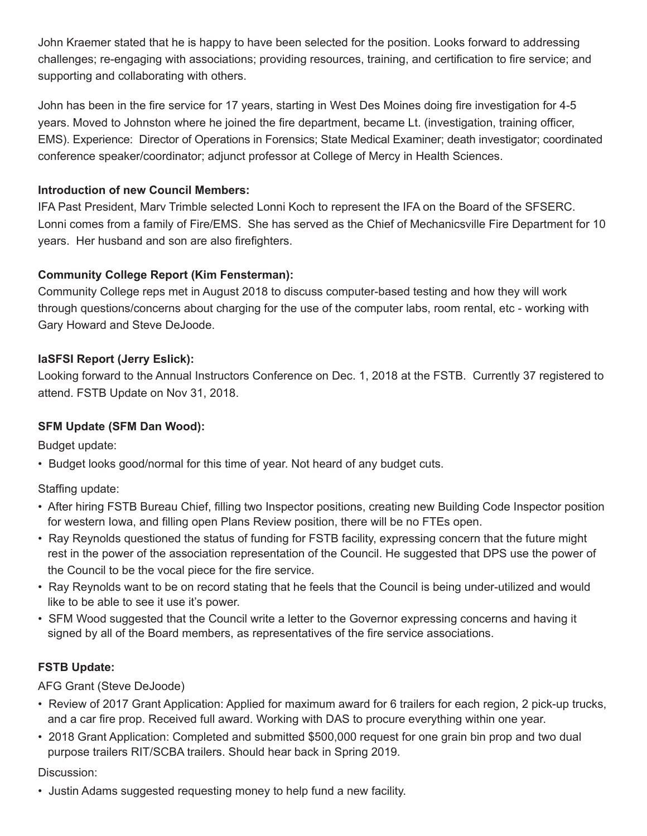John Kraemer stated that he is happy to have been selected for the position. Looks forward to addressing challenges; re-engaging with associations; providing resources, training, and certification to fire service; and supporting and collaborating with others.

John has been in the fire service for 17 years, starting in West Des Moines doing fire investigation for 4-5 years. Moved to Johnston where he joined the fire department, became Lt. (investigation, training officer, EMS). Experience: Director of Operations in Forensics; State Medical Examiner; death investigator; coordinated conference speaker/coordinator; adjunct professor at College of Mercy in Health Sciences.

## **Introduction of new Council Members:**

IFA Past President, Marv Trimble selected Lonni Koch to represent the IFA on the Board of the SFSERC. Lonni comes from a family of Fire/EMS. She has served as the Chief of Mechanicsville Fire Department for 10 years. Her husband and son are also firefighters.

## **Community College Report (Kim Fensterman):**

Community College reps met in August 2018 to discuss computer-based testing and how they will work through questions/concerns about charging for the use of the computer labs, room rental, etc - working with Gary Howard and Steve DeJoode.

## **IaSFSI Report (Jerry Eslick):**

Looking forward to the Annual Instructors Conference on Dec. 1, 2018 at the FSTB. Currently 37 registered to attend. FSTB Update on Nov 31, 2018.

#### **SFM Update (SFM Dan Wood):**

Budget update:

• Budget looks good/normal for this time of year. Not heard of any budget cuts.

Staffing update:

- After hiring FSTB Bureau Chief, filling two Inspector positions, creating new Building Code Inspector position for western Iowa, and filling open Plans Review position, there will be no FTEs open.
- Ray Reynolds questioned the status of funding for FSTB facility, expressing concern that the future might rest in the power of the association representation of the Council. He suggested that DPS use the power of the Council to be the vocal piece for the fire service.
- Ray Reynolds want to be on record stating that he feels that the Council is being under-utilized and would like to be able to see it use it's power.
- SFM Wood suggested that the Council write a letter to the Governor expressing concerns and having it signed by all of the Board members, as representatives of the fire service associations.

#### **FSTB Update:**

AFG Grant (Steve DeJoode)

- Review of 2017 Grant Application: Applied for maximum award for 6 trailers for each region, 2 pick-up trucks, and a car fire prop. Received full award. Working with DAS to procure everything within one year.
- 2018 Grant Application: Completed and submitted \$500,000 request for one grain bin prop and two dual purpose trailers RIT/SCBA trailers. Should hear back in Spring 2019.

#### Discussion:

• Justin Adams suggested requesting money to help fund a new facility.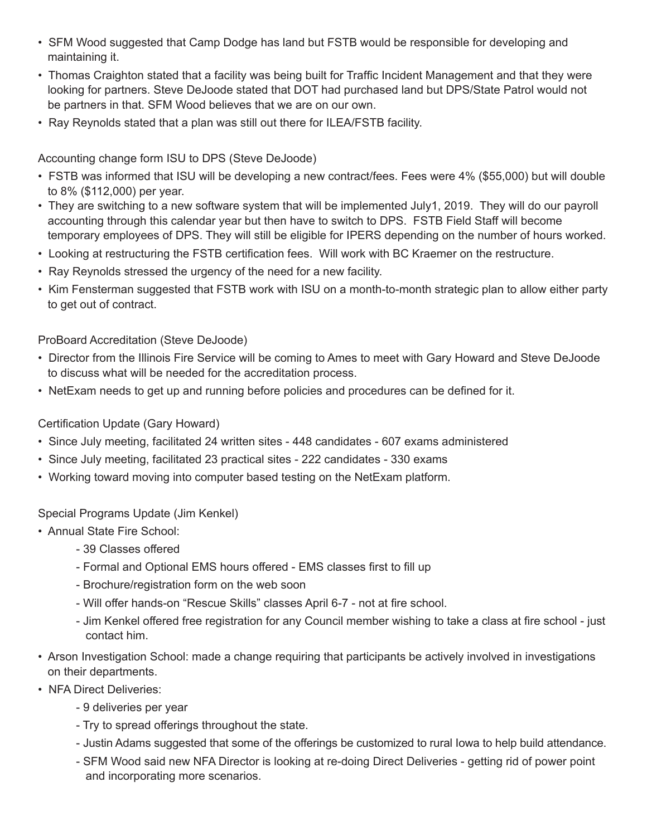- SFM Wood suggested that Camp Dodge has land but FSTB would be responsible for developing and maintaining it.
- Thomas Craighton stated that a facility was being built for Traffic Incident Management and that they were looking for partners. Steve DeJoode stated that DOT had purchased land but DPS/State Patrol would not be partners in that. SFM Wood believes that we are on our own.
- Ray Reynolds stated that a plan was still out there for ILEA/FSTB facility.

Accounting change form ISU to DPS (Steve DeJoode)

- FSTB was informed that ISU will be developing a new contract/fees. Fees were 4% (\$55,000) but will double to 8% (\$112,000) per year.
- They are switching to a new software system that will be implemented July1, 2019. They will do our payroll accounting through this calendar year but then have to switch to DPS. FSTB Field Staff will become temporary employees of DPS. They will still be eligible for IPERS depending on the number of hours worked.
- Looking at restructuring the FSTB certification fees. Will work with BC Kraemer on the restructure.
- Ray Reynolds stressed the urgency of the need for a new facility.
- Kim Fensterman suggested that FSTB work with ISU on a month-to-month strategic plan to allow either party to get out of contract.

ProBoard Accreditation (Steve DeJoode)

- Director from the Illinois Fire Service will be coming to Ames to meet with Gary Howard and Steve DeJoode to discuss what will be needed for the accreditation process.
- NetExam needs to get up and running before policies and procedures can be defined for it.

## Certification Update (Gary Howard)

- Since July meeting, facilitated 24 written sites 448 candidates 607 exams administered
- Since July meeting, facilitated 23 practical sites 222 candidates 330 exams
- Working toward moving into computer based testing on the NetExam platform.

#### Special Programs Update (Jim Kenkel)

- Annual State Fire School:
	- 39 Classes offered
	- Formal and Optional EMS hours offered EMS classes first to fill up
	- Brochure/registration form on the web soon
	- Will offer hands-on "Rescue Skills" classes April 6-7 not at fire school.
	- Jim Kenkel offered free registration for any Council member wishing to take a class at fire school just contact him.
- Arson Investigation School: made a change requiring that participants be actively involved in investigations on their departments.
- NFA Direct Deliveries:
	- 9 deliveries per year
	- Try to spread offerings throughout the state.
	- Justin Adams suggested that some of the offerings be customized to rural Iowa to help build attendance.
	- SFM Wood said new NFA Director is looking at re-doing Direct Deliveries getting rid of power point and incorporating more scenarios.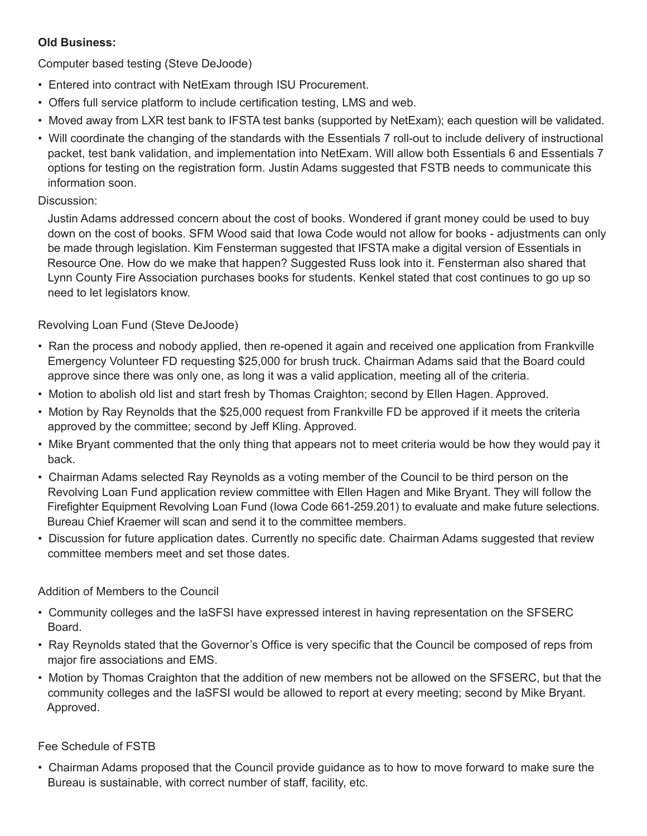#### **Old Business:**

Computer based testing (Steve DeJoode)

- Entered into contract with NetExam through ISU Procurement.
- Offers full service platform to include certification testing, LMS and web.
- Moved away from LXR test bank to IFSTA test banks (supported by NetExam); each question will be validated.
- Will coordinate the changing of the standards with the Essentials 7 roll-out to include delivery of instructional packet, test bank validation, and implementation into NetExam. Will allow both Essentials 6 and Essentials 7 options for testing on the registration form. Justin Adams suggested that FSTB needs to communicate this information soon.

## Discussion:

 Justin Adams addressed concern about the cost of books. Wondered if grant money could be used to buy down on the cost of books. SFM Wood said that Iowa Code would not allow for books - adjustments can only be made through legislation. Kim Fensterman suggested that IFSTA make a digital version of Essentials in Resource One. How do we make that happen? Suggested Russ look into it. Fensterman also shared that Lynn County Fire Association purchases books for students. Kenkel stated that cost continues to go up so need to let legislators know.

## Revolving Loan Fund (Steve DeJoode)

- Ran the process and nobody applied, then re-opened it again and received one application from Frankville Emergency Volunteer FD requesting \$25,000 for brush truck. Chairman Adams said that the Board could approve since there was only one, as long it was a valid application, meeting all of the criteria.
- Motion to abolish old list and start fresh by Thomas Craighton; second by Ellen Hagen. Approved.
- Motion by Ray Reynolds that the \$25,000 request from Frankville FD be approved if it meets the criteria approved by the committee; second by Jeff Kling. Approved.
- Mike Bryant commented that the only thing that appears not to meet criteria would be how they would pay it back.
- Chairman Adams selected Ray Reynolds as a voting member of the Council to be third person on the Revolving Loan Fund application review committee with Ellen Hagen and Mike Bryant. They will follow the Firefighter Equipment Revolving Loan Fund (Iowa Code 661-259.201) to evaluate and make future selections. Bureau Chief Kraemer will scan and send it to the committee members.
- Discussion for future application dates. Currently no specific date. Chairman Adams suggested that review committee members meet and set those dates.

## Addition of Members to the Council

- Community colleges and the IaSFSI have expressed interest in having representation on the SFSERC Board.
- Ray Reynolds stated that the Governor's Office is very specific that the Council be composed of reps from major fire associations and EMS.
- Motion by Thomas Craighton that the addition of new members not be allowed on the SFSERC, but that the community colleges and the IaSFSI would be allowed to report at every meeting; second by Mike Bryant. Approved.

## Fee Schedule of FSTB

• Chairman Adams proposed that the Council provide guidance as to how to move forward to make sure the Bureau is sustainable, with correct number of staff, facility, etc.